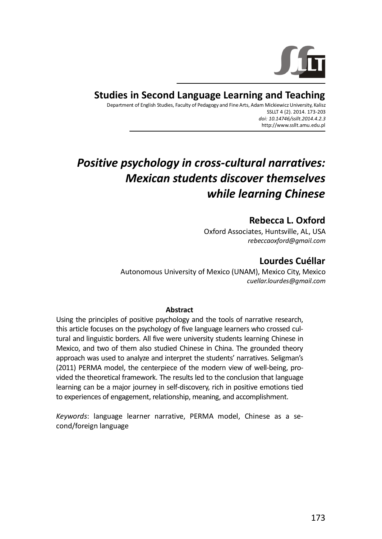

# **Studies in Second Language Learning and Teaching**

Department of English Studies, Faculty of Pedagogy and Fine Arts, Adam Mickiewicz University, Kalisz SSLLT 4 (2), 2014, 173-203 doi: 10.14746/ssllt.2014.4.2.3 http://www.ssllt.amu.edu.pl

# Positive psychology in cross-cultural narratives: **Mexican students discover themselves** while learning Chinese

# Rebecca L. Oxford

Oxford Associates, Huntsville, AL, USA rebeccaoxford@gmail.com

# Lourdes Cuéllar

Autonomous University of Mexico (UNAM), Mexico City, Mexico cuellar.lourdes@amail.com

#### **Abstract**

Using the principles of positive psychology and the tools of narrative research, this article focuses on the psychology of five language learners who crossed cultural and linguistic borders. All five were university students learning Chinese in Mexico, and two of them also studied Chinese in China. The grounded theory approach was used to analyze and interpret the students' narratives. Seligman's (2011) PERMA model, the centerpiece of the modern view of well-being, provided the theoretical framework. The results led to the conclusion that language learning can be a major journey in self-discovery, rich in positive emotions tied to experiences of engagement, relationship, meaning, and accomplishment.

Keywords: language learner narrative, PERMA model, Chinese as a second/foreign language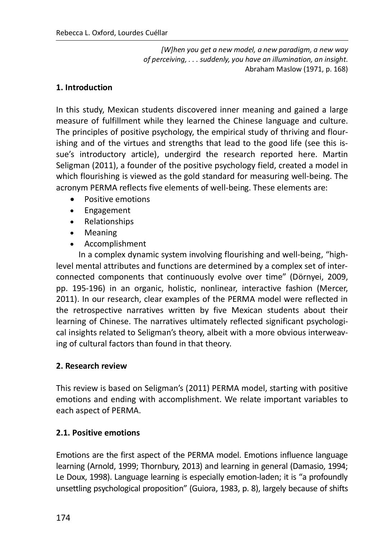[W]hen you get a new model, a new paradigm, a new way of perceiving..., suddenly, you have an illumination, an insight. Abraham Maslow (1971, p. 168)

#### 1. Introduction

In this study, Mexican students discovered inner meaning and gained a large measure of fulfillment while they learned the Chinese language and culture. The principles of positive psychology, the empirical study of thriving and flourishing and of the virtues and strengths that lead to the good life (see this issue's introductory article), undergird the research reported here. Martin Seligman (2011), a founder of the positive psychology field, created a model in which flourishing is viewed as the gold standard for measuring well-being. The acronym PERMA reflects five elements of well-being. These elements are:

- Positive emotions
- Engagement  $\bullet$
- Relationships  $\bullet$
- Meaning  $\bullet$
- Accomplishment

In a complex dynamic system involving flourishing and well-being, "highlevel mental attributes and functions are determined by a complex set of interconnected components that continuously evolve over time" (Dörnyei, 2009, pp. 195-196) in an organic, holistic, nonlinear, interactive fashion (Mercer, 2011). In our research, clear examples of the PERMA model were reflected in the retrospective narratives written by five Mexican students about their learning of Chinese. The narratives ultimately reflected significant psychological insights related to Seligman's theory, albeit with a more obvious interweaving of cultural factors than found in that theory.

#### 2. Research review

This review is based on Seligman's (2011) PERMA model, starting with positive emotions and ending with accomplishment. We relate important variables to each aspect of PERMA.

#### 2.1. Positive emotions

Emotions are the first aspect of the PERMA model. Emotions influence language learning (Arnold, 1999; Thornbury, 2013) and learning in general (Damasio, 1994; Le Doux, 1998). Language learning is especially emotion-laden; it is "a profoundly unsettling psychological proposition" (Guiora, 1983, p. 8), largely because of shifts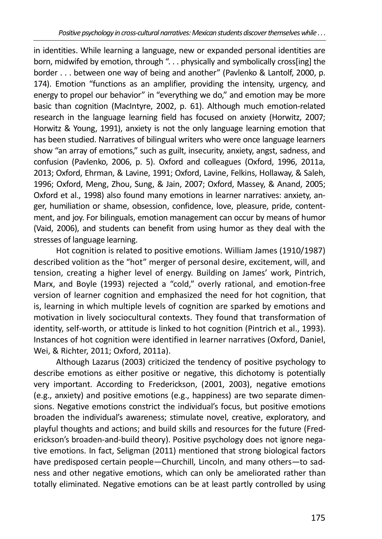in identities. While learning a language, new or expanded personal identities are born, midwifed by emotion, through "... physically and symbolically cross[ing] the border . . . between one way of being and another" (Pavlenko & Lantolf, 2000, p. 174). Emotion "functions as an amplifier, providing the intensity, urgency, and energy to propel our behavior" in "everything we do," and emotion may be more basic than cognition (MacIntyre, 2002, p. 61). Although much emotion-related research in the language learning field has focused on anxiety (Horwitz, 2007; Horwitz & Young, 1991), anxiety is not the only language learning emotion that has been studied. Narratives of bilingual writers who were once language learners show "an array of emotions," such as guilt, insecurity, anxiety, angst, sadness, and confusion (Pavlenko, 2006, p. 5). Oxford and colleagues (Oxford, 1996, 2011a, 2013; Oxford, Ehrman, & Lavine, 1991; Oxford, Lavine, Felkins, Hollaway, & Saleh, 1996; Oxford, Meng, Zhou, Sung, & Jain, 2007; Oxford, Massey, & Anand, 2005; Oxford et al., 1998) also found many emotions in learner narratives: anxiety, anger, humiliation or shame, obsession, confidence, love, pleasure, pride, contentment, and joy. For bilinguals, emotion management can occur by means of humor (Vaid, 2006), and students can benefit from using humor as they deal with the stresses of language learning.

Hot cognition is related to positive emotions. William James (1910/1987) described volition as the "hot" merger of personal desire, excitement, will, and tension, creating a higher level of energy. Building on James' work, Pintrich, Marx, and Boyle (1993) rejected a "cold," overly rational, and emotion-free version of learner cognition and emphasized the need for hot cognition, that is, learning in which multiple levels of cognition are sparked by emotions and motivation in lively sociocultural contexts. They found that transformation of identity, self-worth, or attitude is linked to hot cognition (Pintrich et al., 1993). Instances of hot cognition were identified in learner narratives (Oxford, Daniel, Wei, & Richter, 2011; Oxford, 2011a).

Although Lazarus (2003) criticized the tendency of positive psychology to describe emotions as either positive or negative, this dichotomy is potentially very important. According to Frederickson, (2001, 2003), negative emotions (e.g., anxiety) and positive emotions (e.g., happiness) are two separate dimensions. Negative emotions constrict the individual's focus, but positive emotions broaden the individual's awareness; stimulate novel, creative, exploratory, and playful thoughts and actions; and build skills and resources for the future (Frederickson's broaden-and-build theory). Positive psychology does not ignore negative emotions. In fact, Seligman (2011) mentioned that strong biological factors have predisposed certain people—Churchill, Lincoln, and many others—to sadness and other negative emotions, which can only be ameliorated rather than totally eliminated. Negative emotions can be at least partly controlled by using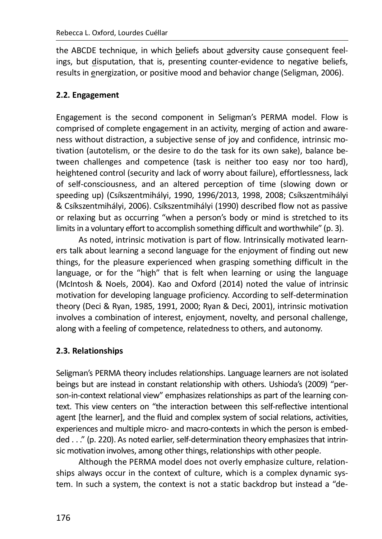the ABCDE technique, in which beliefs about adversity cause consequent feelings, but disputation, that is, presenting counter-evidence to negative beliefs, results in energization, or positive mood and behavior change (Seligman, 2006).

### 2.2. Engagement

Engagement is the second component in Seligman's PERMA model. Flow is comprised of complete engagement in an activity, merging of action and awareness without distraction, a subjective sense of joy and confidence, intrinsic motivation (autotelism, or the desire to do the task for its own sake), balance between challenges and competence (task is neither too easy nor too hard), heightened control (security and lack of worry about failure), effortlessness, lack of self-consciousness, and an altered perception of time (slowing down or speeding up) (Csíkszentmihályi, 1990, 1996/2013, 1998, 2008; Csíkszentmihályi & Csíkszentmihályi, 2006). Csíkszentmihályi (1990) described flow not as passive or relaxing but as occurring "when a person's body or mind is stretched to its limits in a voluntary effort to accomplish something difficult and worthwhile" (p. 3).

As noted, intrinsic motivation is part of flow. Intrinsically motivated learners talk about learning a second language for the enjoyment of finding out new things, for the pleasure experienced when grasping something difficult in the language, or for the "high" that is felt when learning or using the language (McIntosh & Noels, 2004). Kao and Oxford (2014) noted the value of intrinsic motivation for developing language proficiency. According to self-determination theory (Deci & Ryan, 1985, 1991, 2000; Ryan & Deci, 2001), intrinsic motivation involves a combination of interest, enjoyment, novelty, and personal challenge, along with a feeling of competence, relatedness to others, and autonomy.

#### 2.3. Relationships

Seligman's PERMA theory includes relationships. Language learners are not isolated beings but are instead in constant relationship with others. Ushioda's (2009) "person-in-context relational view" emphasizes relationships as part of the learning context. This view centers on "the interaction between this self-reflective intentional agent [the learner], and the fluid and complex system of social relations, activities, experiences and multiple micro- and macro-contexts in which the person is embedded . . ." (p. 220). As noted earlier, self-determination theory emphasizes that intrinsic motivation involves, among other things, relationships with other people.

Although the PERMA model does not overly emphasize culture, relationships always occur in the context of culture, which is a complex dynamic system. In such a system, the context is not a static backdrop but instead a "de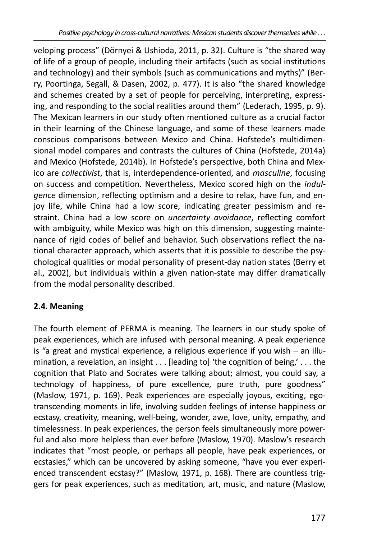veloping process" (Dörnyei & Ushioda, 2011, p. 32). Culture is "the shared way of life of a group of people, including their artifacts (such as social institutions and technology) and their symbols (such as communications and myths)" (Berry, Poortinga, Segall, & Dasen, 2002, p. 477). It is also "the shared knowledge and schemes created by a set of people for perceiving, interpreting, expressing, and responding to the social realities around them" (Lederach, 1995, p. 9). The Mexican learners in our study often mentioned culture as a crucial factor in their learning of the Chinese language, and some of these learners made conscious comparisons between Mexico and China. Hofstede's multidimensional model compares and contrasts the cultures of China (Hofstede, 2014a) and Mexico (Hofstede, 2014b). In Hofstede's perspective, both China and Mexico are *collectivist*, that is, interdependence-oriented, and *masculine*, focusing on success and competition. Nevertheless, Mexico scored high on the *indulgence* dimension, reflecting optimism and a desire to relax, have fun, and enjoy life, while China had a low score, indicating greater pessimism and restraint. China had a low score on uncertainty avoidance, reflecting comfort with ambiguity, while Mexico was high on this dimension, suggesting maintenance of rigid codes of belief and behavior. Such observations reflect the national character approach, which asserts that it is possible to describe the psychological qualities or modal personality of present-day nation states (Berry et al., 2002), but individuals within a given nation-state may differ dramatically from the modal personality described.

# 2.4. Meaning

The fourth element of PERMA is meaning. The learners in our study spoke of peak experiences, which are infused with personal meaning. A peak experience is "a great and mystical experience, a religious experience if you wish  $-$  an illumination, a revelation, an insight . . . [leading to] 'the cognition of being,'... the cognition that Plato and Socrates were talking about; almost, you could say, a technology of happiness, of pure excellence, pure truth, pure goodness" (Maslow, 1971, p. 169). Peak experiences are especially joyous, exciting, egotranscending moments in life, involving sudden feelings of intense happiness or ecstasy, creativity, meaning, well-being, wonder, awe, love, unity, empathy, and timelessness. In peak experiences, the person feels simultaneously more powerful and also more helpless than ever before (Maslow, 1970). Maslow's research indicates that "most people, or perhaps all people, have peak experiences, or ecstasies," which can be uncovered by asking someone, "have you ever experienced transcendent ecstasy?" (Maslow, 1971, p. 168). There are countless triggers for peak experiences, such as meditation, art, music, and nature (Maslow,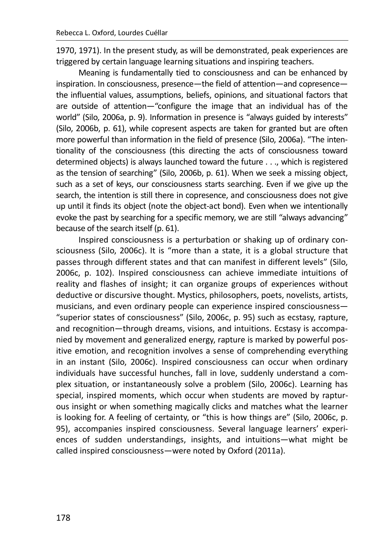1970, 1971). In the present study, as will be demonstrated, peak experiences are triggered by certain language learning situations and inspiring teachers.

Meaning is fundamentally tied to consciousness and can be enhanced by inspiration. In consciousness, presence—the field of attention—and copresence the influential values, assumptions, beliefs, opinions, and situational factors that are outside of attention—"configure the image that an individual has of the world" (Silo, 2006a, p. 9). Information in presence is "always guided by interests" (Silo, 2006b, p. 61), while copresent aspects are taken for granted but are often more powerful than information in the field of presence (Silo, 2006a). "The intentionality of the consciousness (this directing the acts of consciousness toward determined objects) is always launched toward the future . . ., which is registered as the tension of searching" (Silo, 2006b, p. 61). When we seek a missing object, such as a set of keys, our consciousness starts searching. Even if we give up the search, the intention is still there in copresence, and consciousness does not give up until it finds its object (note the object-act bond). Even when we intentionally evoke the past by searching for a specific memory, we are still "always advancing" because of the search itself (p. 61).

Inspired consciousness is a perturbation or shaking up of ordinary consciousness (Silo, 2006c). It is "more than a state, it is a global structure that passes through different states and that can manifest in different levels" (Silo, 2006c, p. 102). Inspired consciousness can achieve immediate intuitions of reality and flashes of insight; it can organize groups of experiences without deductive or discursive thought. Mystics, philosophers, poets, novelists, artists, musicians, and even ordinary people can experience inspired consciousness-"superior states of consciousness" (Silo, 2006c, p. 95) such as ecstasy, rapture, and recognition-through dreams, visions, and intuitions. Ecstasy is accompanied by movement and generalized energy, rapture is marked by powerful positive emotion, and recognition involves a sense of comprehending everything in an instant (Silo, 2006c). Inspired consciousness can occur when ordinary individuals have successful hunches, fall in love, suddenly understand a complex situation, or instantaneously solve a problem (Silo, 2006c). Learning has special, inspired moments, which occur when students are moved by rapturous insight or when something magically clicks and matches what the learner is looking for. A feeling of certainty, or "this is how things are" (Silo, 2006c, p. 95), accompanies inspired consciousness. Several language learners' experiences of sudden understandings, insights, and intuitions-what might be called inspired consciousness-were noted by Oxford (2011a).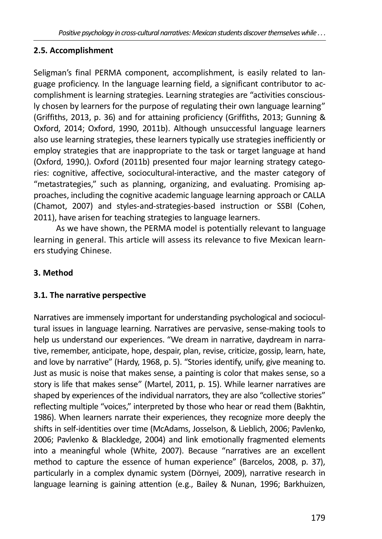# 2.5. Accomplishment

Seligman's final PERMA component, accomplishment, is easily related to language proficiency. In the language learning field, a significant contributor to accomplishment is learning strategies. Learning strategies are "activities consciously chosen by learners for the purpose of regulating their own language learning" (Griffiths, 2013, p. 36) and for attaining proficiency (Griffiths, 2013; Gunning & Oxford, 2014; Oxford, 1990, 2011b). Although unsuccessful language learners also use learning strategies, these learners typically use strategies inefficiently or employ strategies that are inappropriate to the task or target language at hand (Oxford, 1990,). Oxford (2011b) presented four major learning strategy categories: cognitive, affective, sociocultural-interactive, and the master category of "metastrategies," such as planning, organizing, and evaluating. Promising approaches, including the cognitive academic language learning approach or CALLA (Chamot, 2007) and styles-and-strategies-based instruction or SSBI (Cohen, 2011), have arisen for teaching strategies to language learners.

As we have shown, the PERMA model is potentially relevant to language learning in general. This article will assess its relevance to five Mexican learners studying Chinese.

# 3. Method

## 3.1. The narrative perspective

Narratives are immensely important for understanding psychological and sociocultural issues in language learning. Narratives are pervasive, sense-making tools to help us understand our experiences. "We dream in narrative, daydream in narrative, remember, anticipate, hope, despair, plan, revise, criticize, gossip, learn, hate, and love by narrative" (Hardy, 1968, p. 5). "Stories identify, unify, give meaning to. Just as music is noise that makes sense, a painting is color that makes sense, so a story is life that makes sense" (Martel, 2011, p. 15). While learner narratives are shaped by experiences of the individual narrators, they are also "collective stories" reflecting multiple "voices," interpreted by those who hear or read them (Bakhtin, 1986). When learners narrate their experiences, they recognize more deeply the shifts in self-identities over time (McAdams, Josselson, & Lieblich, 2006; Pavlenko, 2006; Pavlenko & Blackledge, 2004) and link emotionally fragmented elements into a meaningful whole (White, 2007). Because "narratives are an excellent method to capture the essence of human experience" (Barcelos, 2008, p. 37), particularly in a complex dynamic system (Dörnyei, 2009), narrative research in language learning is gaining attention (e.g., Bailey & Nunan, 1996; Barkhuizen,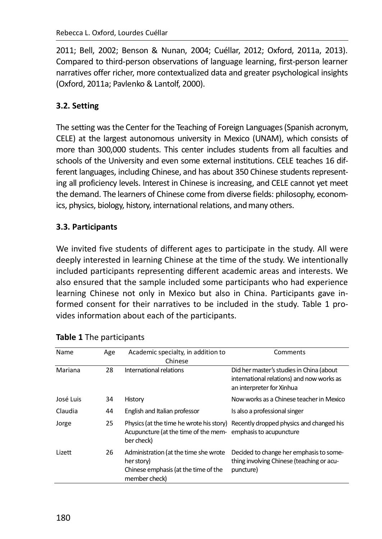2011; Bell, 2002; Benson & Nunan, 2004; Cuéllar, 2012; Oxford, 2011a, 2013). Compared to third-person observations of language learning, first-person learner narratives offer richer, more contextualized data and greater psychological insights (Oxford, 2011a: Pavlenko & Lantolf, 2000).

# 3.2. Setting

The setting was the Center for the Teaching of Foreign Languages (Spanish acronym, CELE) at the largest autonomous university in Mexico (UNAM), which consists of more than 300,000 students. This center includes students from all faculties and schools of the University and even some external institutions. CELE teaches 16 different languages, including Chinese, and has about 350 Chinese students representing all proficiency levels. Interest in Chinese is increasing, and CELE cannot yet meet the demand. The learners of Chinese come from diverse fields: philosophy, economics, physics, biology, history, international relations, and many others.

### 3.3. Participants

We invited five students of different ages to participate in the study. All were deeply interested in learning Chinese at the time of the study. We intentionally included participants representing different academic areas and interests. We also ensured that the sample included some participants who had experience learning Chinese not only in Mexico but also in China. Participants gave informed consent for their narratives to be included in the study. Table 1 provides information about each of the participants.

| Name      | Age | Academic specialty, in addition to<br>Chinese                                                                | Comments                                                                                                           |
|-----------|-----|--------------------------------------------------------------------------------------------------------------|--------------------------------------------------------------------------------------------------------------------|
| Mariana   | 28  | International relations                                                                                      | Did her master's studies in China (about<br>international relations) and now works as<br>an interpreter for Xinhua |
| José Luis | 34  | History                                                                                                      | Now works as a Chinese teacher in Mexico                                                                           |
| Claudia   | 44  | English and Italian professor                                                                                | Is also a professional singer                                                                                      |
| Jorge     | 25  | Acupuncture (at the time of the mem-emphasis to acupuncture<br>ber check)                                    | Physics (at the time he wrote his story) Recently dropped physics and changed his                                  |
| Lizett    | 26  | Administration (at the time she wrote<br>her story)<br>Chinese emphasis (at the time of the<br>member check) | Decided to change her emphasis to some-<br>thing involving Chinese (teaching or acu-<br>puncture)                  |

|  |  |  | Table 1 The participants |
|--|--|--|--------------------------|
|--|--|--|--------------------------|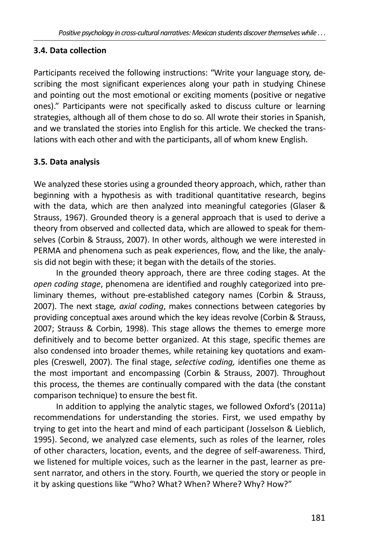#### 3.4. Data collection

Participants received the following instructions: "Write your language story, describing the most significant experiences along your path in studying Chinese and pointing out the most emotional or exciting moments (positive or negative ones)." Participants were not specifically asked to discuss culture or learning strategies, although all of them chose to do so. All wrote their stories in Spanish, and we translated the stories into English for this article. We checked the translations with each other and with the participants, all of whom knew English.

### 3.5. Data analysis

We analyzed these stories using a grounded theory approach, which, rather than beginning with a hypothesis as with traditional quantitative research, begins with the data, which are then analyzed into meaningful categories (Glaser & Strauss, 1967). Grounded theory is a general approach that is used to derive a theory from observed and collected data, which are allowed to speak for themselves (Corbin & Strauss, 2007). In other words, although we were interested in PERMA and phenomena such as peak experiences, flow, and the like, the analysis did not begin with these; it began with the details of the stories.

In the grounded theory approach, there are three coding stages. At the open coding stage, phenomena are identified and roughly categorized into preliminary themes, without pre-established category names (Corbin & Strauss, 2007). The next stage, *gxigl coding*, makes connections between categories by providing conceptual axes around which the key ideas revolve (Corbin & Strauss, 2007; Strauss & Corbin, 1998). This stage allows the themes to emerge more definitively and to become better organized. At this stage, specific themes are also condensed into broader themes, while retaining key quotations and examples (Creswell, 2007). The final stage, *selective coding*, identifies one theme as the most important and encompassing (Corbin & Strauss, 2007). Throughout this process, the themes are continually compared with the data (the constant comparison technique) to ensure the best fit.

In addition to applying the analytic stages, we followed Oxford's (2011a) recommendations for understanding the stories. First, we used empathy by trying to get into the heart and mind of each participant (Josselson & Lieblich, 1995). Second, we analyzed case elements, such as roles of the learner, roles of other characters, location, events, and the degree of self-awareness. Third, we listened for multiple voices, such as the learner in the past, learner as present narrator, and others in the story. Fourth, we queried the story or people in it by asking questions like "Who? What? When? Where? Why? How?"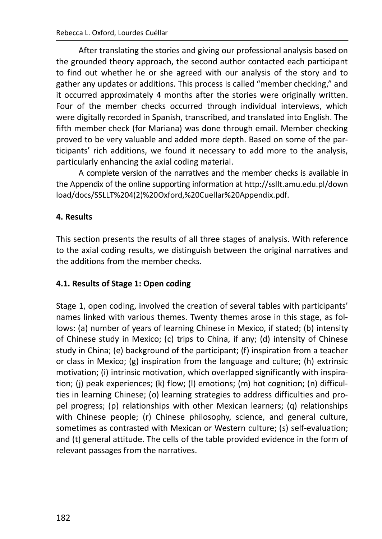After translating the stories and giving our professional analysis based on the grounded theory approach, the second author contacted each participant to find out whether he or she agreed with our analysis of the story and to gather any updates or additions. This process is called "member checking." and it occurred approximately 4 months after the stories were originally written. Four of the member checks occurred through individual interviews, which were digitally recorded in Spanish, transcribed, and translated into English. The fifth member check (for Mariana) was done through email. Member checking proved to be very valuable and added more depth. Based on some of the participants' rich additions, we found it necessary to add more to the analysis, particularly enhancing the axial coding material.

A complete version of the narratives and the member checks is available in the Appendix of the online supporting information at http://ssllt.amu.edu.pl/down load/docs/SSLLT%204(2)%20Oxford,%20Cuellar%20Appendix.pdf.

#### 4. Results

This section presents the results of all three stages of analysis. With reference to the axial coding results, we distinguish between the original narratives and the additions from the member checks.

#### 4.1. Results of Stage 1: Open coding

Stage 1, open coding, involved the creation of several tables with participants' names linked with various themes. Twenty themes arose in this stage, as follows: (a) number of years of learning Chinese in Mexico, if stated; (b) intensity of Chinese study in Mexico; (c) trips to China, if any; (d) intensity of Chinese study in China; (e) background of the participant; (f) inspiration from a teacher or class in Mexico;  $(g)$  inspiration from the language and culture; (h) extrinsic motivation; (i) intrinsic motivation, which overlapped significantly with inspiration; (i) peak experiences; (k) flow; (I) emotions; (m) hot cognition; (n) difficulties in learning Chinese; (o) learning strategies to address difficulties and propel progress; (p) relationships with other Mexican learners; (q) relationships with Chinese people; (r) Chinese philosophy, science, and general culture, sometimes as contrasted with Mexican or Western culture; (s) self-evaluation; and (t) general attitude. The cells of the table provided evidence in the form of relevant passages from the narratives.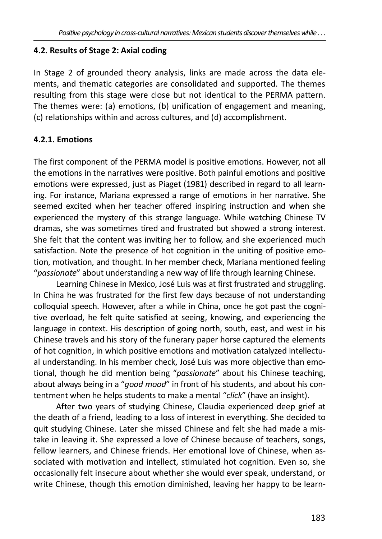#### 4.2. Results of Stage 2: Axial coding

In Stage 2 of grounded theory analysis, links are made across the data elements, and thematic categories are consolidated and supported. The themes resulting from this stage were close but not identical to the PERMA pattern. The themes were: (a) emotions, (b) unification of engagement and meaning, (c) relationships within and across cultures, and (d) accomplishment.

#### 4.2.1. Emotions

The first component of the PERMA model is positive emotions. However, not all the emotions in the narratives were positive. Both painful emotions and positive emotions were expressed, just as Piaget (1981) described in regard to all learning. For instance, Mariana expressed a range of emotions in her narrative. She seemed excited when her teacher offered inspiring instruction and when she experienced the mystery of this strange language. While watching Chinese TV dramas, she was sometimes tired and frustrated but showed a strong interest. She felt that the content was inviting her to follow, and she experienced much satisfaction. Note the presence of hot cognition in the uniting of positive emotion, motivation, and thought. In her member check, Mariana mentioned feeling "passionate" about understanding a new way of life through learning Chinese.

Learning Chinese in Mexico, José Luis was at first frustrated and struggling. In China he was frustrated for the first few days because of not understanding colloquial speech. However, after a while in China, once he got past the cognitive overload, he felt quite satisfied at seeing, knowing, and experiencing the language in context. His description of going north, south, east, and west in his Chinese travels and his story of the funerary paper horse captured the elements of hot cognition, in which positive emotions and motivation catalyzed intellectual understanding. In his member check, José Luis was more objective than emotional, though he did mention being "passionate" about his Chinese teaching, about always being in a "good mood" in front of his students, and about his contentment when he helps students to make a mental "click" (have an insight).

After two years of studying Chinese, Claudia experienced deep grief at the death of a friend, leading to a loss of interest in everything. She decided to quit studying Chinese. Later she missed Chinese and felt she had made a mistake in leaving it. She expressed a love of Chinese because of teachers, songs, fellow learners, and Chinese friends. Her emotional love of Chinese, when associated with motivation and intellect, stimulated hot cognition. Even so, she occasionally felt insecure about whether she would ever speak, understand, or write Chinese, though this emotion diminished, leaving her happy to be learn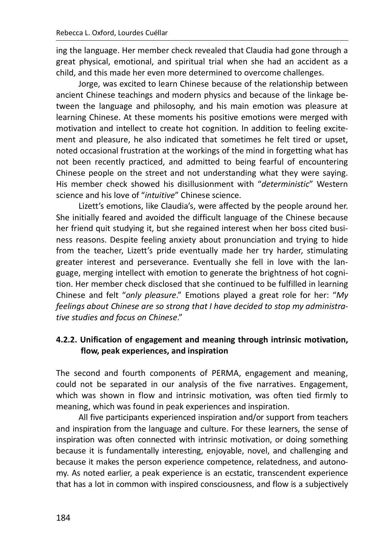ing the language. Her member check revealed that Claudia had gone through a great physical, emotional, and spiritual trial when she had an accident as a child, and this made her even more determined to overcome challenges.

Jorge, was excited to learn Chinese because of the relationship between ancient Chinese teachings and modern physics and because of the linkage between the language and philosophy, and his main emotion was pleasure at learning Chinese. At these moments his positive emotions were merged with motivation and intellect to create hot cognition. In addition to feeling excitement and pleasure, he also indicated that sometimes he felt tired or upset, noted occasional frustration at the workings of the mind in forgetting what has not been recently practiced, and admitted to being fearful of encountering Chinese people on the street and not understanding what they were saying. His member check showed his disillusionment with "deterministic" Western science and his love of "intuitive" Chinese science.

Lizett's emotions, like Claudia's, were affected by the people around her. She initially feared and avoided the difficult language of the Chinese because her friend quit studying it, but she regained interest when her boss cited business reasons. Despite feeling anxiety about pronunciation and trying to hide from the teacher, Lizett's pride eventually made her try harder, stimulating greater interest and perseverance. Eventually she fell in love with the language, merging intellect with emotion to generate the brightness of hot cognition. Her member check disclosed that she continued to be fulfilled in learning Chinese and felt "only pleasure." Emotions played a great role for her: "My feelings about Chinese are so strong that I have decided to stop my administrative studies and focus on Chinese."

# 4.2.2. Unification of engagement and meaning through intrinsic motivation, flow, peak experiences, and inspiration

The second and fourth components of PERMA, engagement and meaning, could not be separated in our analysis of the five narratives. Engagement, which was shown in flow and intrinsic motivation, was often tied firmly to meaning, which was found in peak experiences and inspiration.

All five participants experienced inspiration and/or support from teachers and inspiration from the language and culture. For these learners, the sense of inspiration was often connected with intrinsic motivation, or doing something because it is fundamentally interesting, enjoyable, novel, and challenging and because it makes the person experience competence, relatedness, and autonomy. As noted earlier, a peak experience is an ecstatic, transcendent experience that has a lot in common with inspired consciousness, and flow is a subjectively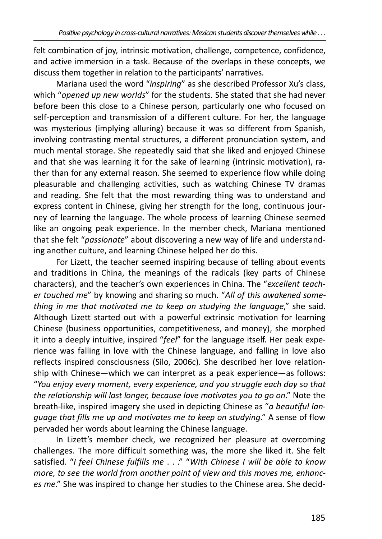felt combination of joy, intrinsic motivation, challenge, competence, confidence, and active immersion in a task. Because of the overlaps in these concepts, we discuss them together in relation to the participants' narratives.

Mariana used the word "inspiring" as she described Professor Xu's class. which "opened up new worlds" for the students. She stated that she had never before been this close to a Chinese person, particularly one who focused on self-perception and transmission of a different culture. For her, the language was mysterious (implying alluring) because it was so different from Spanish, involving contrasting mental structures, a different pronunciation system, and much mental storage. She repeatedly said that she liked and enjoyed Chinese and that she was learning it for the sake of learning (intrinsic motivation), rather than for any external reason. She seemed to experience flow while doing pleasurable and challenging activities, such as watching Chinese TV dramas and reading. She felt that the most rewarding thing was to understand and express content in Chinese, giving her strength for the long, continuous journey of learning the language. The whole process of learning Chinese seemed like an ongoing peak experience. In the member check, Mariana mentioned that she felt "passionate" about discovering a new way of life and understanding another culture, and learning Chinese helped her do this.

For Lizett, the teacher seemed inspiring because of telling about events and traditions in China, the meanings of the radicals (key parts of Chinese characters), and the teacher's own experiences in China. The "excellent teacher touched me" by knowing and sharing so much. "All of this awakened something in me that motivated me to keep on studying the language," she said. Although Lizett started out with a powerful extrinsic motivation for learning Chinese (business opportunities, competitiveness, and money), she morphed it into a deeply intuitive, inspired "feel" for the language itself. Her peak experience was falling in love with the Chinese language, and falling in love also reflects inspired consciousness (Silo, 2006c). She described her love relationship with Chinese-which we can interpret as a peak experience-as follows: "You enjoy every moment, every experience, and you struggle each day so that the relationship will last longer, because love motivates you to go on." Note the breath-like, inspired imagery she used in depicting Chinese as "a beautiful lanquage that fills me up and motivates me to keep on studying." A sense of flow pervaded her words about learning the Chinese language.

In Lizett's member check, we recognized her pleasure at overcoming challenges. The more difficult something was, the more she liked it. She felt satisfied. "I feel Chinese fulfills me . . ." "With Chinese I will be able to know more, to see the world from another point of view and this moves me, enhances me." She was inspired to change her studies to the Chinese area. She decid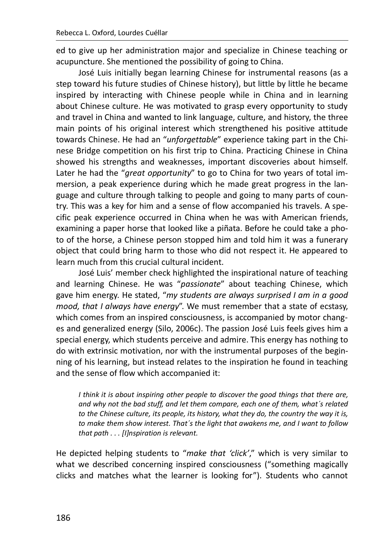ed to give up her administration major and specialize in Chinese teaching or acupuncture. She mentioned the possibility of going to China.

José Luis initially began learning Chinese for instrumental reasons (as a step toward his future studies of Chinese history), but little by little he became inspired by interacting with Chinese people while in China and in learning about Chinese culture. He was motivated to grasp every opportunity to study and travel in China and wanted to link language, culture, and history, the three main points of his original interest which strengthened his positive attitude towards Chinese. He had an "unforgettable" experience taking part in the Chinese Bridge competition on his first trip to China. Practicing Chinese in China showed his strengths and weaknesses, important discoveries about himself. Later he had the "great opportunity" to go to China for two years of total immersion, a peak experience during which he made great progress in the language and culture through talking to people and going to many parts of country. This was a key for him and a sense of flow accompanied his travels. A specific peak experience occurred in China when he was with American friends, examining a paper horse that looked like a piñata. Before he could take a photo of the horse, a Chinese person stopped him and told him it was a funerary object that could bring harm to those who did not respect it. He appeared to learn much from this crucial cultural incident.

José Luis' member check highlighted the inspirational nature of teaching and learning Chinese. He was "passionate" about teaching Chinese, which gave him energy. He stated, "my students are always surprised I am in a good mood, that I always have energy". We must remember that a state of ecstasy. which comes from an inspired consciousness, is accompanied by motor changes and generalized energy (Silo, 2006c). The passion José Luis feels gives him a special energy, which students perceive and admire. This energy has nothing to do with extrinsic motivation, nor with the instrumental purposes of the beginning of his learning, but instead relates to the inspiration he found in teaching and the sense of flow which accompanied it:

I think it is about inspiring other people to discover the good things that there are, and why not the bad stuff, and let them compare, each one of them, what's related to the Chinese culture, its people, its history, what they do, the country the way it is, to make them show interest. That's the light that awakens me, and I want to follow that path . . . [I]nspiration is relevant.

He depicted helping students to "make that 'click'," which is very similar to what we described concerning inspired consciousness ("something magically clicks and matches what the learner is looking for"). Students who cannot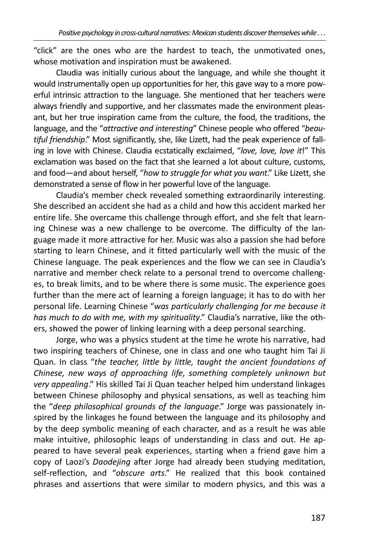"click" are the ones who are the hardest to teach, the unmotivated ones, whose motivation and inspiration must be awakened.

Claudia was initially curious about the language, and while she thought it would instrumentally open up opportunities for her, this gave way to a more powerful intrinsic attraction to the language. She mentioned that her teachers were always friendly and supportive, and her classmates made the environment pleasant, but her true inspiration came from the culture, the food, the traditions, the language, and the "attractive and interesting" Chinese people who offered "beautiful friendship." Most significantly, she, like Lizett, had the peak experience of falling in love with Chinese. Claudia ecstatically exclaimed, "love, love, love it!" This exclamation was based on the fact that she learned a lot about culture, customs, and food—and about herself, "how to struggle for what you want." Like Lizett, she demonstrated a sense of flow in her powerful love of the language.

Claudia's member check revealed something extraordinarily interesting. She described an accident she had as a child and how this accident marked her entire life. She overcame this challenge through effort, and she felt that learning Chinese was a new challenge to be overcome. The difficulty of the language made it more attractive for her. Music was also a passion she had before starting to learn Chinese, and it fitted particularly well with the music of the Chinese language. The peak experiences and the flow we can see in Claudia's narrative and member check relate to a personal trend to overcome challenges, to break limits, and to be where there is some music. The experience goes further than the mere act of learning a foreign language; it has to do with her personal life. Learning Chinese "was particularly challenging for me because it has much to do with me, with my spirituality." Claudia's narrative, like the others, showed the power of linking learning with a deep personal searching.

Jorge, who was a physics student at the time he wrote his narrative, had two inspiring teachers of Chinese, one in class and one who taught him Tai Ji Quan. In class "the teacher, little by little, taught the ancient foundations of Chinese, new ways of approaching life, something completely unknown but very appealing." His skilled Tai Ji Quan teacher helped him understand linkages between Chinese philosophy and physical sensations, as well as teaching him the "deep philosophical grounds of the language." Jorge was passionately inspired by the linkages he found between the language and its philosophy and by the deep symbolic meaning of each character, and as a result he was able make intuitive, philosophic leaps of understanding in class and out. He appeared to have several peak experiences, starting when a friend gave him a copy of Laozi's Daodejing after Jorge had already been studying meditation, self-reflection, and "obscure arts." He realized that this book contained phrases and assertions that were similar to modern physics, and this was a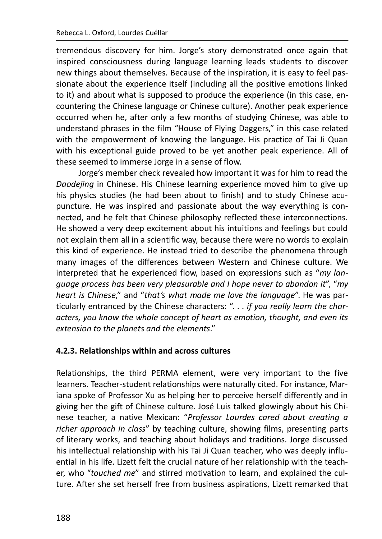tremendous discovery for him. Jorge's story demonstrated once again that inspired consciousness during language learning leads students to discover new things about themselves. Because of the inspiration, it is easy to feel passionate about the experience itself (including all the positive emotions linked to it) and about what is supposed to produce the experience (in this case, encountering the Chinese language or Chinese culture). Another peak experience occurred when he, after only a few months of studying Chinese, was able to understand phrases in the film "House of Flying Daggers," in this case related with the empowerment of knowing the language. His practice of Tai Ji Quan with his exceptional guide proved to be yet another peak experience. All of these seemed to immerse Jorge in a sense of flow.

Jorge's member check revealed how important it was for him to read the Daodejing in Chinese. His Chinese learning experience moved him to give up his physics studies (he had been about to finish) and to study Chinese acupuncture. He was inspired and passionate about the way everything is connected, and he felt that Chinese philosophy reflected these interconnections. He showed a very deep excitement about his intuitions and feelings but could not explain them all in a scientific way, because there were no words to explain this kind of experience. He instead tried to describe the phenomena through many images of the differences between Western and Chinese culture. We interpreted that he experienced flow, based on expressions such as "my lanquage process has been very pleasurable and I hope never to abandon it", "my heart is Chinese," and "that's what made me love the language". He was particularly entranced by the Chinese characters: ". . . if you really learn the characters, you know the whole concept of heart as emotion, thought, and even its extension to the planets and the elements."

#### 4.2.3. Relationships within and across cultures

Relationships, the third PERMA element, were very important to the five learners. Teacher-student relationships were naturally cited. For instance, Marjana spoke of Professor Xu as helping her to perceive herself differently and in giving her the gift of Chinese culture. José Luis talked glowingly about his Chinese teacher, a native Mexican: "Professor Lourdes cared about creating a richer approach in class" by teaching culture, showing films, presenting parts of literary works, and teaching about holidays and traditions. Jorge discussed his intellectual relationship with his Tai Ji Quan teacher, who was deeply influential in his life. Lizett felt the crucial nature of her relationship with the teacher, who "touched me" and stirred motivation to learn, and explained the culture. After she set herself free from business aspirations, Lizett remarked that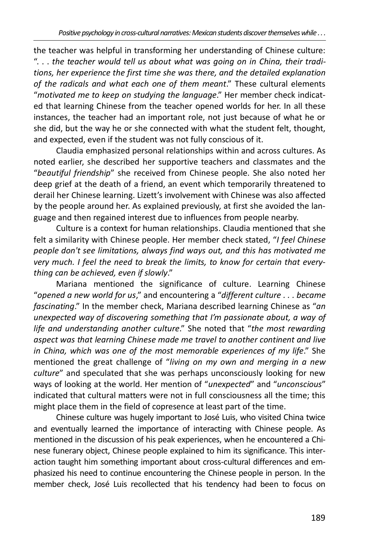the teacher was helpful in transforming her understanding of Chinese culture: "... the teacher would tell us about what was going on in China, their traditions, her experience the first time she was there, and the detailed explanation of the radicals and what each one of them meant." These cultural elements "motivated me to keep on studying the language." Her member check indicated that learning Chinese from the teacher opened worlds for her. In all these instances, the teacher had an important role, not just because of what he or she did, but the way he or she connected with what the student felt, thought, and expected, even if the student was not fully conscious of it.

Claudia emphasized personal relationships within and across cultures. As noted earlier, she described her supportive teachers and classmates and the "beautiful friendship" she received from Chinese people. She also noted her deep grief at the death of a friend, an event which temporarily threatened to derail her Chinese learning. Lizett's involvement with Chinese was also affected by the people around her. As explained previously, at first she avoided the language and then regained interest due to influences from people nearby.

Culture is a context for human relationships. Claudia mentioned that she felt a similarity with Chinese people. Her member check stated, "I feel Chinese people don't see limitations, always find ways out, and this has motivated me very much. I feel the need to break the limits, to know for certain that everything can be achieved, even if slowly."

Mariana mentioned the significance of culture. Learning Chinese "opened a new world for us," and encountering a "different culture . . . became fascinating." In the member check, Mariana described learning Chinese as "an unexpected way of discovering something that I'm passionate about, a way of life and understanding another culture." She noted that "the most rewarding aspect was that learning Chinese made me travel to another continent and live in China, which was one of the most memorable experiences of my life." She mentioned the great challenge of "living on my own and merging in a new culture" and speculated that she was perhaps unconsciously looking for new ways of looking at the world. Her mention of "unexpected" and "unconscious" indicated that cultural matters were not in full consciousness all the time; this might place them in the field of copresence at least part of the time.

Chinese culture was hugely important to José Luis, who visited China twice and eventually learned the importance of interacting with Chinese people. As mentioned in the discussion of his peak experiences, when he encountered a Chinese funerary object, Chinese people explained to him its significance. This interaction taught him something important about cross-cultural differences and emphasized his need to continue encountering the Chinese people in person. In the member check, José Luis recollected that his tendency had been to focus on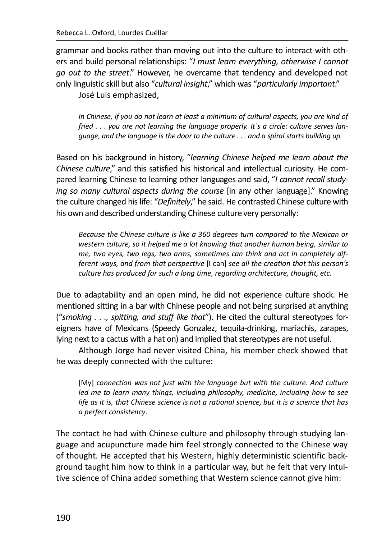grammar and books rather than moving out into the culture to interact with others and build personal relationships: "I must learn everything, otherwise I cannot go out to the street." However, he overcame that tendency and developed not only linguistic skill but also "cultural insight." which was "particularly important."

José Luis emphasized,

In Chinese, if you do not learn at least a minimum of cultural aspects, you are kind of fried . . . you are not learning the language properly. It's a circle: culture serves language, and the language is the door to the culture . . . and a spiral starts building up.

Based on his background in history, "learning Chinese helped me learn about the Chinese culture." and this satisfied his historical and intellectual curiosity. He compared learning Chinese to learning other languages and said. "I cannot recall studying so many cultural aspects during the course (in any other language)." Knowing the culture changed his life: "Definitely," he said. He contrasted Chinese culture with his own and described understanding Chinese culture very personally:

Because the Chinese culture is like a 360 degrees turn compared to the Mexican or western culture, so it helped me a lot knowing that another human being, similar to me, two eyes, two legs, two arms, sometimes can think and act in completely different ways, and from that perspective [I can] see all the creation that this person's culture has produced for such a long time, regarding architecture, thought, etc.

Due to adaptability and an open mind, he did not experience culture shock. He mentioned sitting in a bar with Chinese people and not being surprised at anything ("smoking . . ., spitting, and stuff like that"). He cited the cultural stereotypes foreigners have of Mexicans (Speedy Gonzalez, tequila-drinking, mariachis, zarapes, lying next to a cactus with a hat on) and implied that stereotypes are not useful.

Although Jorge had never visited China, his member check showed that he was deeply connected with the culture:

[My] connection was not just with the language but with the culture. And culture led me to learn many things, including philosophy, medicine, including how to see life as it is, that Chinese science is not a rational science, but it is a science that has a perfect consistency.

The contact he had with Chinese culture and philosophy through studying language and acupuncture made him feel strongly connected to the Chinese way of thought. He accepted that his Western, highly deterministic scientific background taught him how to think in a particular way, but he felt that very intuitive science of China added something that Western science cannot give him: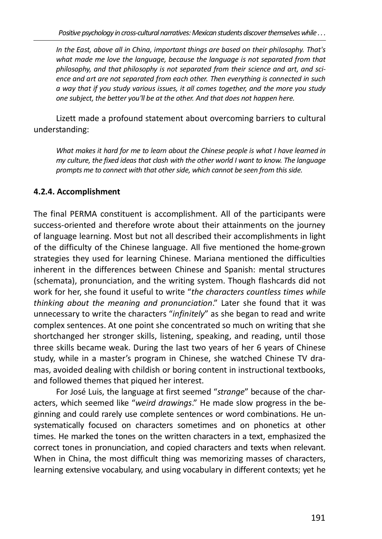In the East, above all in China, important things are based on their philosophy. That's what made me love the language, because the language is not separated from that philosophy, and that philosophy is not separated from their science and art, and science and art are not separated from each other. Then everything is connected in such a way that if you study various issues, it all comes together, and the more you study one subject, the better you'll be at the other. And that does not happen here.

Lizett made a profound statement about overcoming barriers to cultural understanding:

What makes it hard for me to learn about the Chinese people is what I have learned in my culture, the fixed ideas that clash with the other world I want to know. The language prompts me to connect with that other side, which cannot be seen from this side.

## 4.2.4. Accomplishment

The final PERMA constituent is accomplishment. All of the participants were success-oriented and therefore wrote about their attainments on the journey of language learning. Most but not all described their accomplishments in light of the difficulty of the Chinese language. All five mentioned the home-grown strategies they used for learning Chinese. Mariana mentioned the difficulties inherent in the differences between Chinese and Spanish: mental structures (schemata), pronunciation, and the writing system. Though flashcards did not work for her, she found it useful to write "the characters countless times while thinking about the meaning and pronunciation." Later she found that it was unnecessary to write the characters "infinitely" as she began to read and write complex sentences. At one point she concentrated so much on writing that she shortchanged her stronger skills, listening, speaking, and reading, until those three skills became weak. During the last two years of her 6 years of Chinese study, while in a master's program in Chinese, she watched Chinese TV dramas, avoided dealing with childish or boring content in instructional textbooks, and followed themes that piqued her interest.

For José Luis, the language at first seemed "strange" because of the characters, which seemed like "weird drawings." He made slow progress in the beginning and could rarely use complete sentences or word combinations. He unsystematically focused on characters sometimes and on phonetics at other times. He marked the tones on the written characters in a text, emphasized the correct tones in pronunciation, and copied characters and texts when relevant. When in China, the most difficult thing was memorizing masses of characters, learning extensive vocabulary, and using vocabulary in different contexts; yet he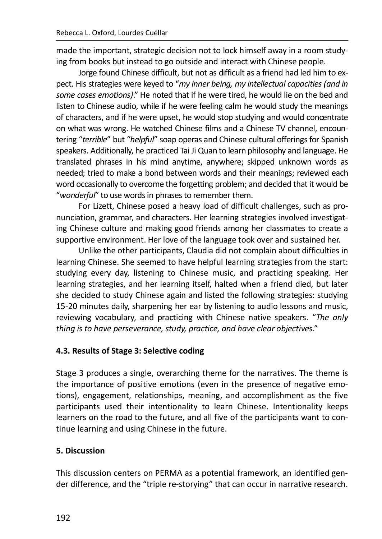made the important, strategic decision not to lock himself away in a room studying from books but instead to go outside and interact with Chinese people.

Jorge found Chinese difficult, but not as difficult as a friend had led him to expect. His strategies were keved to "my inner being, my intellectual capacities (and in some cases emotions)." He noted that if he were tired, he would lie on the bed and listen to Chinese audio, while if he were feeling calm he would study the meanings of characters, and if he were upset, he would stop studying and would concentrate on what was wrong. He watched Chinese films and a Chinese TV channel, encountering "terrible" but "helpful" soap operas and Chinese cultural offerings for Spanish speakers. Additionally, he practiced Tai Ji Quan to learn philosophy and language. He translated phrases in his mind anytime, anywhere; skipped unknown words as needed; tried to make a bond between words and their meanings; reviewed each word occasionally to overcome the forgetting problem; and decided that it would be "wonderful" to use words in phrases to remember them.

For Lizett, Chinese posed a heavy load of difficult challenges, such as pronunciation, grammar, and characters. Her learning strategies involved investigating Chinese culture and making good friends among her classmates to create a supportive environment. Her love of the language took over and sustained her.

Unlike the other participants, Claudia did not complain about difficulties in learning Chinese. She seemed to have helpful learning strategies from the start: studying every day, listening to Chinese music, and practicing speaking. Her learning strategies, and her learning itself, halted when a friend died, but later she decided to study Chinese again and listed the following strategies: studying 15-20 minutes daily, sharpening her ear by listening to audio lessons and music, reviewing vocabulary, and practicing with Chinese native speakers. "The only thing is to have perseverance, study, practice, and have clear objectives."

## 4.3. Results of Stage 3: Selective coding

Stage 3 produces a single, overarching theme for the narratives. The theme is the importance of positive emotions (even in the presence of negative emotions), engagement, relationships, meaning, and accomplishment as the five participants used their intentionality to learn Chinese. Intentionality keeps learners on the road to the future, and all five of the participants want to continue learning and using Chinese in the future.

#### 5. Discussion

This discussion centers on PERMA as a potential framework, an identified gender difference, and the "triple re-storying" that can occur in narrative research.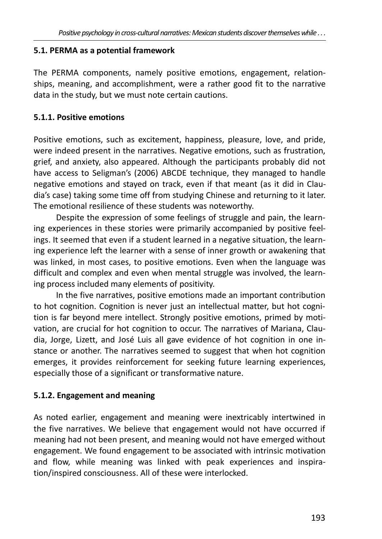#### 5.1. PERMA as a potential framework

The PERMA components, namely positive emotions, engagement, relationships, meaning, and accomplishment, were a rather good fit to the narrative data in the study, but we must note certain cautions.

#### 5.1.1. Positive emotions

Positive emotions, such as excitement, happiness, pleasure, love, and pride, were indeed present in the narratives. Negative emotions, such as frustration, grief, and anxiety, also appeared. Although the participants probably did not have access to Seligman's (2006) ABCDE technique, they managed to handle negative emotions and stayed on track, even if that meant (as it did in Claudia's case) taking some time off from studying Chinese and returning to it later. The emotional resilience of these students was noteworthy.

Despite the expression of some feelings of struggle and pain, the learning experiences in these stories were primarily accompanied by positive feelings. It seemed that even if a student learned in a negative situation, the learning experience left the learner with a sense of inner growth or awakening that was linked, in most cases, to positive emotions. Even when the language was difficult and complex and even when mental struggle was involved, the learning process included many elements of positivity.

In the five narratives, positive emotions made an important contribution to hot cognition. Cognition is never just an intellectual matter, but hot cognition is far beyond mere intellect. Strongly positive emotions, primed by motivation, are crucial for hot cognition to occur. The narratives of Mariana, Claudia, Jorge, Lizett, and José Luis all gave evidence of hot cognition in one instance or another. The narratives seemed to suggest that when hot cognition emerges, it provides reinforcement for seeking future learning experiences, especially those of a significant or transformative nature.

## 5.1.2. Engagement and meaning

As noted earlier, engagement and meaning were inextricably intertwined in the five narratives. We believe that engagement would not have occurred if meaning had not been present, and meaning would not have emerged without engagement. We found engagement to be associated with intrinsic motivation and flow, while meaning was linked with peak experiences and inspiration/inspired consciousness. All of these were interlocked.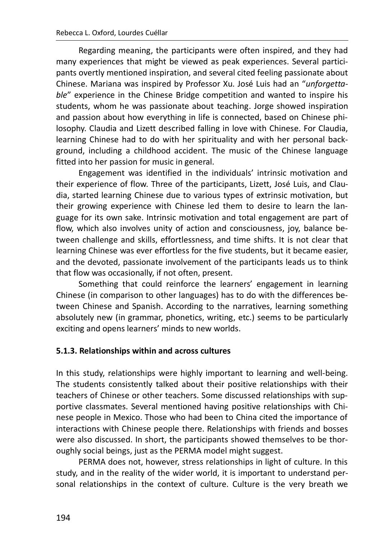Regarding meaning, the participants were often inspired, and they had many experiences that might be viewed as peak experiences. Several participants overtly mentioned inspiration, and several cited feeling passionate about Chinese. Mariana was inspired by Professor Xu. José Luis had an "unforgettgble" experience in the Chinese Bridge competition and wanted to inspire his students, whom he was passionate about teaching. Jorge showed inspiration and passion about how everything in life is connected, based on Chinese philosophy. Claudia and Lizett described falling in love with Chinese. For Claudia, learning Chinese had to do with her spirituality and with her personal background, including a childhood accident. The music of the Chinese language fitted into her passion for music in general.

Engagement was identified in the individuals' intrinsic motivation and their experience of flow. Three of the participants, Lizett, José Luis, and Claudia, started learning Chinese due to various types of extrinsic motivation, but their growing experience with Chinese led them to desire to learn the language for its own sake. Intrinsic motivation and total engagement are part of flow, which also involves unity of action and consciousness, joy, balance between challenge and skills, effortlessness, and time shifts. It is not clear that learning Chinese was ever effortless for the five students, but it became easier, and the devoted, passionate involvement of the participants leads us to think that flow was occasionally, if not often, present.

Something that could reinforce the learners' engagement in learning Chinese (in comparison to other languages) has to do with the differences between Chinese and Spanish. According to the narratives, learning something absolutely new (in grammar, phonetics, writing, etc.) seems to be particularly exciting and opens learners' minds to new worlds.

#### 5.1.3. Relationships within and across cultures

In this study, relationships were highly important to learning and well-being. The students consistently talked about their positive relationships with their teachers of Chinese or other teachers. Some discussed relationships with supportive classmates. Several mentioned having positive relationships with Chinese people in Mexico. Those who had been to China cited the importance of interactions with Chinese people there. Relationships with friends and bosses were also discussed. In short, the participants showed themselves to be thoroughly social beings, just as the PERMA model might suggest.

PERMA does not, however, stress relationships in light of culture. In this study, and in the reality of the wider world, it is important to understand personal relationships in the context of culture. Culture is the very breath we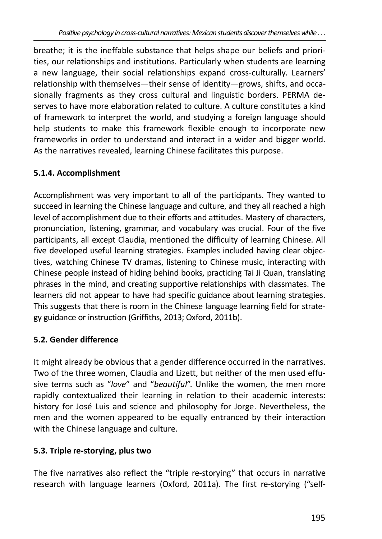breathe; it is the ineffable substance that helps shape our beliefs and priorities, our relationships and institutions. Particularly when students are learning a new language, their social relationships expand cross-culturally. Learners' relationship with themselves—their sense of identity—grows, shifts, and occasionally fragments as they cross cultural and linguistic borders. PERMA deserves to have more elaboration related to culture. A culture constitutes a kind of framework to interpret the world, and studying a foreign language should help students to make this framework flexible enough to incorporate new frameworks in order to understand and interact in a wider and bigger world. As the narratives revealed, learning Chinese facilitates this purpose.

# 5.1.4. Accomplishment

Accomplishment was very important to all of the participants. They wanted to succeed in learning the Chinese language and culture, and they all reached a high level of accomplishment due to their efforts and attitudes. Mastery of characters, pronunciation, listening, grammar, and vocabulary was crucial. Four of the five participants, all except Claudia, mentioned the difficulty of learning Chinese. All five developed useful learning strategies. Examples included having clear objectives, watching Chinese TV dramas, listening to Chinese music, interacting with Chinese people instead of hiding behind books, practicing Tai Ji Quan, translating phrases in the mind, and creating supportive relationships with classmates. The learners did not appear to have had specific guidance about learning strategies. This suggests that there is room in the Chinese language learning field for strategy guidance or instruction (Griffiths, 2013; Oxford, 2011b).

# 5.2. Gender difference

It might already be obvious that a gender difference occurred in the narratives. Two of the three women, Claudia and Lizett, but neither of the men used effusive terms such as "love" and "beautiful". Unlike the women, the men more rapidly contextualized their learning in relation to their academic interests: history for José Luis and science and philosophy for Jorge. Nevertheless, the men and the women appeared to be equally entranced by their interaction with the Chinese language and culture.

# 5.3. Triple re-storying, plus two

The five narratives also reflect the "triple re-storying" that occurs in narrative research with language learners (Oxford, 2011a). The first re-storying ("self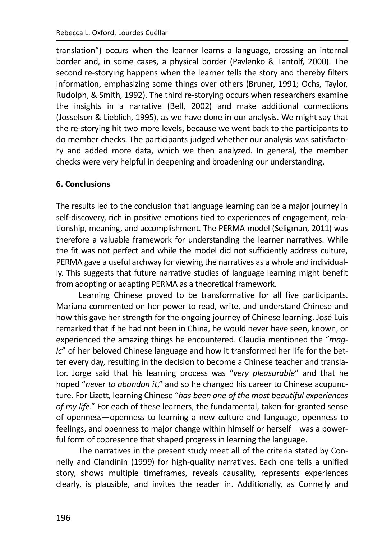translation") occurs when the learner learns a language, crossing an internal border and, in some cases, a physical border (Pavlenko & Lantolf, 2000). The second re-storying happens when the learner tells the story and thereby filters information, emphasizing some things over others (Bruner, 1991; Ochs, Taylor, Rudolph, & Smith, 1992). The third re-storying occurs when researchers examine the insights in a narrative (Bell, 2002) and make additional connections (Josselson & Lieblich, 1995), as we have done in our analysis. We might say that the re-storying hit two more levels, because we went back to the participants to do member checks. The participants judged whether our analysis was satisfactory and added more data, which we then analyzed. In general, the member checks were very helpful in deepening and broadening our understanding.

### **6. Conclusions**

The results led to the conclusion that language learning can be a major journey in self-discovery, rich in positive emotions tied to experiences of engagement, relationship, meaning, and accomplishment. The PERMA model (Seligman, 2011) was therefore a valuable framework for understanding the learner narratives. While the fit was not perfect and while the model did not sufficiently address culture, PERMA gave a useful archway for viewing the narratives as a whole and individually. This suggests that future narrative studies of language learning might benefit from adopting or adapting PERMA as a theoretical framework.

Learning Chinese proved to be transformative for all five participants. Mariana commented on her power to read, write, and understand Chinese and how this gave her strength for the ongoing journey of Chinese learning. José Luis remarked that if he had not been in China, he would never have seen, known, or experienced the amazing things he encountered. Claudia mentioned the "magic" of her beloved Chinese language and how it transformed her life for the better every day, resulting in the decision to become a Chinese teacher and translator. Jorge said that his learning process was "very pleasurable" and that he hoped "never to abandon it," and so he changed his career to Chinese acupuncture. For Lizett, learning Chinese "has been one of the most beautiful experiences of my life." For each of these learners, the fundamental, taken-for-granted sense of openness—openness to learning a new culture and language, openness to feelings, and openness to major change within himself or herself—was a powerful form of copresence that shaped progress in learning the language.

The narratives in the present study meet all of the criteria stated by Connelly and Clandinin (1999) for high-quality narratives. Each one tells a unified story, shows multiple timeframes, reveals causality, represents experiences clearly, is plausible, and invites the reader in. Additionally, as Connelly and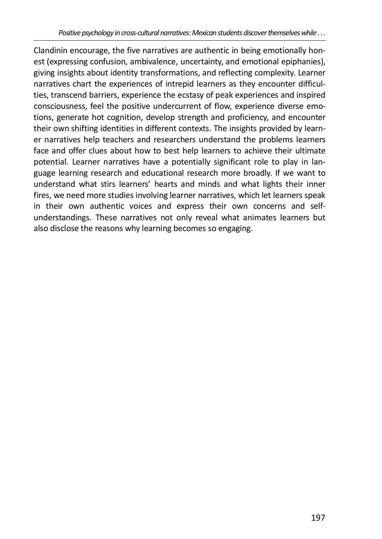Clandinin encourage, the five narratives are authentic in being emotionally honest (expressing confusion, ambivalence, uncertainty, and emotional epiphanies), giving insights about identity transformations, and reflecting complexity. Learner narratives chart the experiences of intrepid learners as they encounter difficulties, transcend barriers, experience the ecstasy of peak experiences and inspired consciousness, feel the positive undercurrent of flow, experience diverse emotions, generate hot cognition, develop strength and proficiency, and encounter their own shifting identities in different contexts. The insights provided by learner narratives help teachers and researchers understand the problems learners face and offer clues about how to best help learners to achieve their ultimate potential. Learner narratives have a potentially significant role to play in language learning research and educational research more broadly. If we want to understand what stirs learners' hearts and minds and what lights their inner fires, we need more studies involving learner narratives, which let learners speak in their own authentic voices and express their own concerns and selfunderstandings. These narratives not only reveal what animates learners but also disclose the reasons why learning becomes so engaging.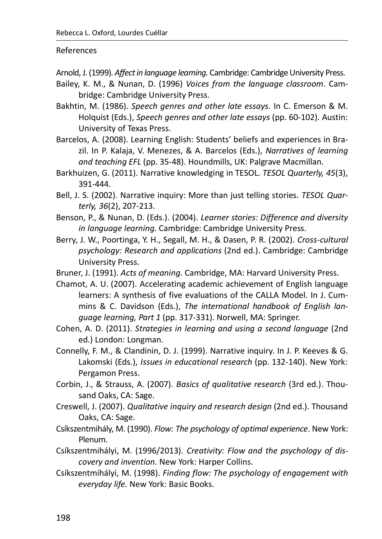#### **References**

Arnold, J. (1999). *Affect in language learning.* Cambridge: Cambridge University Press.

- Bailey, K. M., & Nunan, D. (1996) *Voices from the language classroom*. Cambridge: Cambridge University Press.
- Bakhtin, M. (1986). *Speech genres and other late essays.* In C. Emerson & M. Holquist (Eds.), *Speech genres and other late essays* (pp. 60-102). Austin: University of Texas Press.
- Barcelos, A. (2008). Learning English: Students' beliefs and experiences in Brazil. In P. Kalaja, V. Menezes, & A. Barcelos (Eds.), *Narratives of learning* and teaching EFL (pp. 35-48). Houndmills, UK: Palgrave Macmillan.
- Barkhuizen, G. (2011). Narrative knowledging in TESOL. *TESOL Quarterly, 45*(3), 391-444.
- Bell, J. S. (2002). Narrative inquiry: More than just telling stories. TESOL Quar*terly, 36*(2), 207-213.
- Benson, P., & Nunan, D. (Eds.). (2004). *Learner stories: Difference and diversity in language learning.* Cambridge: Cambridge University Press.
- Berry, J. W., Poortinga, Y. H., Segall, M. H., & Dasen, P. R. (2002). *Cross-cultural psychology: Research and applications* (2nd ed.). Cambridge: Cambridge University Press.
- Bruner, J. (1991). *Acts of meaning.* Cambridge, MA: Harvard University Press.
- Chamot, A. U. (2007). Accelerating academic achievement of English language learners: A synthesis of five evaluations of the CALLA Model. In J. Cummins & C. Davidson (Eds.), The international handbook of English lan*guage learning, Part 1 (pp. 317-331). Norwell, MA: Springer.*
- Cohen, A. D. (2011). *Strategies in learning and using a second language* (2nd ed.) London: Longman.
- Connelly, F. M., & Clandinin, D. J. (1999). Narrative inquiry. In J. P. Keeves & G. Lakomski (Eds.), *Issues in educational research* (pp. 132-140). New York: Pergamon Press.
- Corbin, J., & Strauss, A. (2007). *Basics of qualitative research* (3rd ed.). Thousand Oaks, CA: Sage.
- Creswell, J. (2007). *Qualitative inquiry and research design* (2nd ed.). Thousand Oaks, CA: Sage.
- Csíkszentmihály, M. (1990). *Flow: The psychology of optimal experience*. New York: Plenum.
- Csíkszentmihályi, M. (1996/2013). *Creativity: Flow and the psychology of discovery and invention.* New York: Harper Collins.
- Csíkszentmihályi, M. (1998). *Finding flow: The psychology of engagement with everyday life.* New York: Basic Books.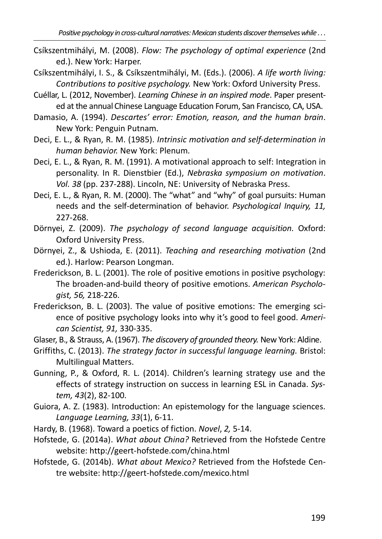- Csíkszentmihályi, M. (2008). Flow: The psychology of optimal experience (2nd ed.). New York: Harper.
- Csíkszentmihályi, I. S., & Csíkszentmihályi, M. (Eds.), (2006). A life worth living: Contributions to positive psychology. New York: Oxford University Press.
- Cuéllar, L. (2012, November). Learning Chinese in an inspired mode. Paper presented at the annual Chinese Language Education Forum, San Francisco, CA, USA.
- Damasio, A. (1994). Descartes' error: Emotion, reason, and the human brain. New York: Penguin Putnam.
- Deci, E. L., & Ryan, R. M. (1985). Intrinsic motivation and self-determination in human behavior. New York: Plenum.
- Deci, E. L., & Ryan, R. M. (1991). A motivational approach to self: Integration in personality. In R. Dienstbier (Ed.), Nebraska symposium on motivation. Vol. 38 (pp. 237-288). Lincoln, NE: University of Nebraska Press.
- Deci, E. L., & Ryan, R. M. (2000). The "what" and "why" of goal pursuits: Human needs and the self-determination of behavior. Psychological Inquiry, 11, 227-268.
- Dörnyei, Z. (2009). The psychology of second language acquisition. Oxford: **Oxford University Press.**
- Dörnyei, Z., & Ushioda, E. (2011). Teaching and researching motivation (2nd ed.). Harlow: Pearson Longman.
- Frederickson, B. L. (2001). The role of positive emotions in positive psychology: The broaden-and-build theory of positive emotions. American Psycholoaist, 56, 218-226.
- Frederickson, B. L. (2003). The value of positive emotions: The emerging science of positive psychology looks into why it's good to feel good. American Scientist, 91, 330-335.
- Glaser, B., & Strauss, A. (1967). The discovery of grounded theory. New York: Aldine.
- Griffiths, C. (2013). The strategy factor in successful language learning. Bristol: **Multilingual Matters.**
- Gunning, P., & Oxford, R. L. (2014). Children's learning strategy use and the effects of strategy instruction on success in learning ESL in Canada. System, 43(2), 82-100.
- Guiora, A. Z. (1983). Introduction: An epistemology for the language sciences. Language Learning, 33(1), 6-11.
- Hardy, B. (1968). Toward a poetics of fiction. Novel, 2, 5-14.
- Hofstede, G. (2014a). What about China? Retrieved from the Hofstede Centre website: http://geert-hofstede.com/china.html
- Hofstede, G. (2014b). What about Mexico? Retrieved from the Hofstede Centre website: http://geert-hofstede.com/mexico.html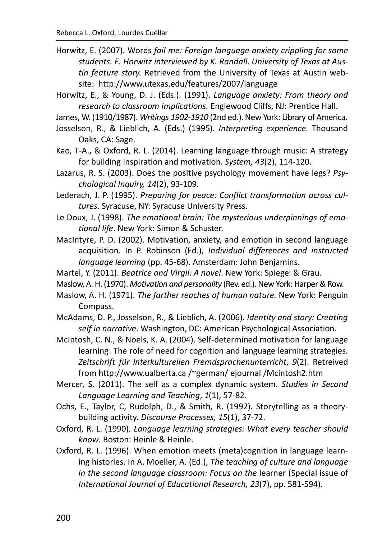Horwitz, E. (2007). Words fail me: Foreign language anxiety crippling for some students. E. Horwitz interviewed by K. Randall. University of Texas at Austin feature story. Retrieved from the University of Texas at Austin website: http://www.utexas.edu/features/2007/language

Horwitz, E., & Young, D. J. (Eds.). (1991). Language anxiety: From theory and research to classroom implications. Englewood Cliffs, NJ: Prentice Hall.

James, W. (1910/1987). Writings 1902-1910 (2nd ed.). New York: Library of America.

- Josselson, R., & Lieblich, A. (Eds.) (1995). Interpreting experience. Thousand Oaks, CA: Sage.
- Kao, T-A., & Oxford, R. L. (2014). Learning language through music: A strategy for building inspiration and motivation. System, 43(2), 114-120.
- Lazarus, R. S. (2003). Does the positive psychology movement have legs? Psychological Inquiry, 14(2), 93-109.

Lederach, J. P. (1995). Preparing for peace: Conflict transformation across cultures. Syracuse, NY: Syracuse University Press.

- Le Doux, J. (1998). The emotional brain: The mysterious underpinnings of emotional life. New York: Simon & Schuster.
- MacIntyre, P. D. (2002). Motivation, anxiety, and emotion in second language acquisition. In P. Robinson (Ed.), Individual differences and instructed language learning (pp. 45-68). Amsterdam: John Benjamins.
- Martel, Y. (2011). Beatrice and Virgil: A novel. New York: Spiegel & Grau.
- Maslow, A. H. (1970). Motivation and personality (Rev. ed.). New York: Harper & Row.
- Maslow, A. H. (1971). The farther reaches of human nature. New York: Penguin Compass.

McAdams, D. P., Josselson, R., & Lieblich, A. (2006). Identity and story: Creating self in narrative. Washington, DC: American Psychological Association.

- McIntosh, C. N., & Noels, K. A. (2004). Self-determined motivation for language learning: The role of need for cognition and language learning strategies. Zeitschrift für Interkulturellen Fremdsprachenunterricht, 9(2). Retreived from http://www.ualberta.ca /~german/ ejournal /Mcintosh2.htm
- Mercer, S. (2011). The self as a complex dynamic system. Studies in Second Language Learning and Teaching, 1(1), 57-82.
- Ochs, E., Taylor, C, Rudolph, D., & Smith, R. (1992). Storytelling as a theorybuilding activity. Discourse Processes, 15(1), 37-72.
- Oxford, R. L. (1990). Language learning strategies: What every teacher should know. Boston: Heinle & Heinle.
- Oxford, R. L. (1996). When emotion meets (meta)cognition in language learning histories. In A. Moeller, A. (Ed.), The teaching of culture and language in the second language classroom: Focus on the learner (Special issue of International Journal of Educational Research, 23(7), pp. 581-594).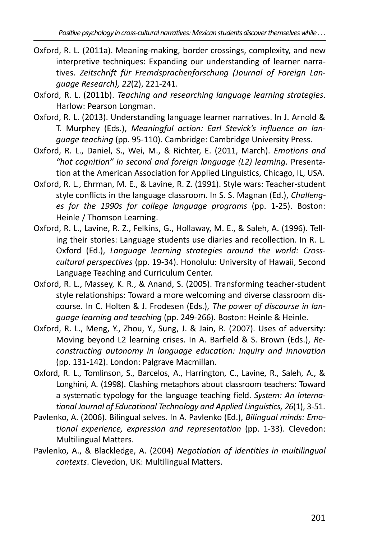- Oxford, R. L. (2011a). Meaning-making, border crossings, complexity, and new interpretive techniques: Expanding our understanding of learner narratives. Zeitschrift für Fremdsprachenforschung (Journal of Foreign Lanquage Research), 22(2), 221-241.
- Oxford, R. L. (2011b). Teaching and researching language learning strategies. Harlow: Pearson Longman.
- Oxford, R. L. (2013). Understanding language learner narratives. In J. Arnold & T. Murphey (Eds.), Meaningful action: Earl Stevick's influence on lanquage teaching (pp. 95-110). Cambridge: Cambridge University Press.
- Oxford, R. L., Daniel, S., Wei, M., & Richter, E. (2011, March). Emotions and "hot cognition" in second and foreign language (L2) learning. Presentation at the American Association for Applied Linguistics, Chicago, IL, USA.
- Oxford, R. L., Ehrman, M. E., & Lavine, R. Z. (1991). Style wars: Teacher-student style conflicts in the language classroom. In S. S. Magnan (Ed.), Challenges for the 1990s for college language programs (pp. 1-25). Boston: Heinle / Thomson Learning.
- Oxford, R. L., Lavine, R. Z., Felkins, G., Hollaway, M. E., & Saleh, A. (1996). Telling their stories: Language students use diaries and recollection. In R. L. Oxford (Ed.), Language learning strategies around the world: Crosscultural perspectives (pp. 19-34). Honolulu: University of Hawaii, Second Language Teaching and Curriculum Center.
- Oxford, R. L., Massey, K. R., & Anand, S. (2005). Transforming teacher-student style relationships: Toward a more welcoming and diverse classroom discourse. In C. Holten & J. Frodesen (Eds.), The power of discourse in lanquage learning and teaching (pp. 249-266). Boston: Heinle & Heinle.
- Oxford, R. L., Meng, Y., Zhou, Y., Sung, J. & Jain, R. (2007). Uses of adversity: Moving beyond L2 learning crises. In A. Barfield & S. Brown (Eds.), Reconstructing autonomy in language education: Inquiry and innovation (pp. 131-142). London: Palgrave Macmillan.
- Oxford, R. L., Tomlinson, S., Barcelos, A., Harrington, C., Lavine, R., Saleh, A., & Longhini, A. (1998). Clashing metaphors about classroom teachers: Toward a systematic typology for the language teaching field. System: An International Journal of Educational Technology and Applied Linguistics, 26(1), 3-51.
- Pavlenko, A. (2006). Bilingual selves. In A. Pavlenko (Ed.), Bilingual minds: Emotional experience, expression and representation (pp. 1-33). Clevedon: **Multilingual Matters.**
- Pavlenko, A., & Blackledge, A. (2004) Negotiation of identities in multilingual contexts. Clevedon, UK: Multilingual Matters.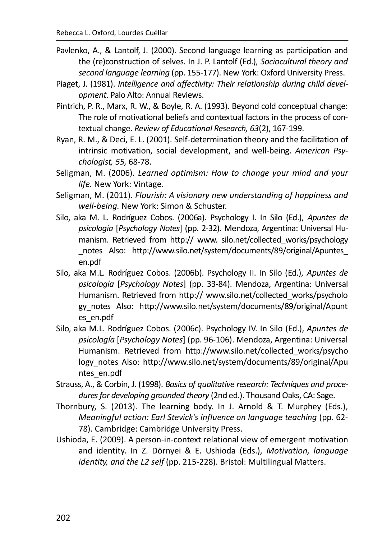- Pavlenko, A., & Lantolf, J. (2000). Second language learning as participation and the (re)construction of selves. In J. P. Lantolf (Ed.), Sociocultural theory and second language learning (pp. 155-177). New York: Oxford University Press.
- Piaget, J. (1981). Intelligence and affectivity: Their relationship during child development. Palo Alto: Annual Reviews.
- Pintrich, P. R., Marx, R. W., & Boyle, R. A. (1993). Beyond cold conceptual change: The role of motivational beliefs and contextual factors in the process of contextual change. Review of Educational Research, 63(2), 167-199.
- Ryan, R. M., & Deci, E. L. (2001). Self-determination theory and the facilitation of intrinsic motivation, social development, and well-being. American Psychologist, 55, 68-78.
- Seligman, M. (2006). Learned optimism: How to change your mind and your life. New York: Vintage.
- Seligman, M. (2011). Flourish: A visionary new understanding of happiness and well-being. New York: Simon & Schuster.
- Silo, aka M. L. Rodríguez Cobos. (2006a). Psychology I. In Silo (Ed.), Apuntes de psicología [Psychology Notes] (pp. 2-32). Mendoza, Argentina: Universal Humanism. Retrieved from http:// www. silo.net/collected works/psychology notes Also: http://www.silo.net/system/documents/89/original/Apuntes en.pdf
- Silo, aka M.L. Rodríguez Cobos. (2006b). Psychology II. In Silo (Ed.), Apuntes de psicología [Psychology Notes] (pp. 33-84). Mendoza, Argentina: Universal Humanism. Retrieved from http:// www.silo.net/collected works/psycholo gy notes Also: http://www.silo.net/system/documents/89/original/Apunt es en.pdf
- Silo, aka M.L. Rodríguez Cobos. (2006c). Psychology IV. In Silo (Ed.), Apuntes de psicología [Psychology Notes] (pp. 96-106). Mendoza, Argentina: Universal Humanism. Retrieved from http://www.silo.net/collected works/psycho logy notes Also: http://www.silo.net/system/documents/89/original/Apu ntes\_en.pdf
- Strauss, A., & Corbin, J. (1998). Basics of qualitative research: Techniques and procedures for developing grounded theory (2nd ed.). Thousand Oaks, CA: Sage.
- Thornbury, S. (2013). The learning body. In J. Arnold & T. Murphey (Eds.), Meaningful action: Earl Stevick's influence on language teaching (pp. 62-78). Cambridge: Cambridge University Press.
- Ushioda, E. (2009). A person-in-context relational view of emergent motivation and identity. In Z. Dörnyei & E. Ushioda (Eds.), Motivation, language identity, and the L2 self (pp. 215-228). Bristol: Multilingual Matters.